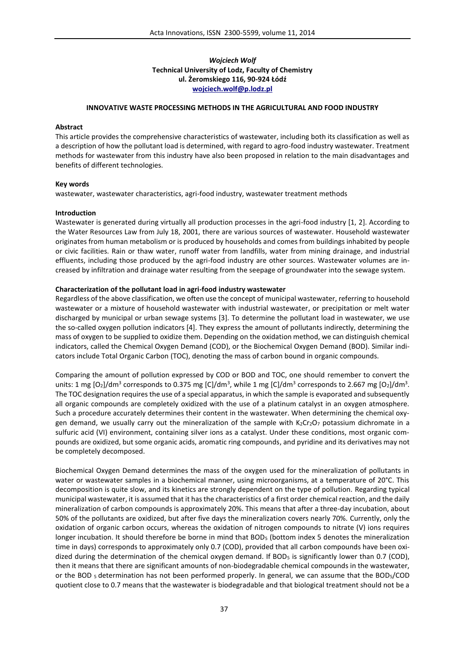## *Wojciech Wolf* **Technical University of Lodz, Faculty of Chemistry ul. Żeromskiego 116, 90-924 Łódź wojciech.wolf@p.lodz.pl**

## **INNOVATIVE WASTE PROCESSING METHODS IN THE AGRICULTURAL AND FOOD INDUSTRY**

#### **Abstract**

This article provides the comprehensive characteristics of wastewater, including both its classification as well as a description of how the pollutant load is determined, with regard to agro-food industry wastewater. Treatment methods for wastewater from this industry have also been proposed in relation to the main disadvantages and benefits of different technologies.

#### **Key words**

wastewater, wastewater characteristics, agri-food industry, wastewater treatment methods

#### **Introduction**

Wastewater is generated during virtually all production processes in the agri-food industry [1, 2]. According to the Water Resources Law from July 18, 2001, there are various sources of wastewater. Household wastewater originates from human metabolism or is produced by households and comes from buildings inhabited by people or civic facilities. Rain or thaw water, runoff water from landfills, water from mining drainage, and industrial effluents, including those produced by the agri-food industry are other sources. Wastewater volumes are increased by infiltration and drainage water resulting from the seepage of groundwater into the sewage system.

### **Characterization of the pollutant load in agri-food industry wastewater**

Regardless of the above classification, we often use the concept of municipal wastewater, referring to household wastewater or a mixture of household wastewater with industrial wastewater, or precipitation or melt water discharged by municipal or urban sewage systems [3]. To determine the pollutant load in wastewater, we use the so-called oxygen pollution indicators [4]. They express the amount of pollutants indirectly, determining the mass of oxygen to be supplied to oxidize them. Depending on the oxidation method, we can distinguish chemical indicators, called the Chemical Oxygen Demand (COD), or the Biochemical Oxygen Demand (BOD). Similar indicators include Total Organic Carbon (TOC), denoting the mass of carbon bound in organic compounds.

Comparing the amount of pollution expressed by COD or BOD and TOC, one should remember to convert the units: 1 mg [O $_2$ ]/dm $^3$  corresponds to 0.375 mg [C]/dm $^3$ , while 1 mg [C]/dm $^3$  corresponds to 2.667 mg [O $_2$ ]/dm $^3$ . The TOC designation requires the use of a special apparatus, in which the sample is evaporated and subsequently all organic compounds are completely oxidized with the use of a platinum catalyst in an oxygen atmosphere. Such a procedure accurately determines their content in the wastewater. When determining the chemical oxygen demand, we usually carry out the mineralization of the sample with  $K_2Cr_2O_7$  potassium dichromate in a sulfuric acid (VI) environment, containing silver ions as a catalyst. Under these conditions, most organic compounds are oxidized, but some organic acids, aromatic ring compounds, and pyridine and its derivatives may not be completely decomposed.

Biochemical Oxygen Demand determines the mass of the oxygen used for the mineralization of pollutants in water or wastewater samples in a biochemical manner, using microorganisms, at a temperature of 20°C. This decomposition is quite slow, and its kinetics are strongly dependent on the type of pollution. Regarding typical municipal wastewater, it is assumed that it has the characteristics of a first order chemical reaction, and the daily mineralization of carbon compounds is approximately 20%. This means that after a three-day incubation, about 50% of the pollutants are oxidized, but after five days the mineralization covers nearly 70%. Currently, only the oxidation of organic carbon occurs, whereas the oxidation of nitrogen compounds to nitrate (V) ions requires longer incubation. It should therefore be borne in mind that BOD<sub>5</sub> (bottom index 5 denotes the mineralization time in days) corresponds to approximately only 0.7 (COD), provided that all carbon compounds have been oxidized during the determination of the chemical oxygen demand. If BOD<sub>5</sub> is significantly lower than 0.7 (COD), then it means that there are significant amounts of non-biodegradable chemical compounds in the wastewater, or the BOD <sub>5</sub> determination has not been performed properly. In general, we can assume that the BOD<sub>5</sub>/COD quotient close to 0.7 means that the wastewater is biodegradable and that biological treatment should not be a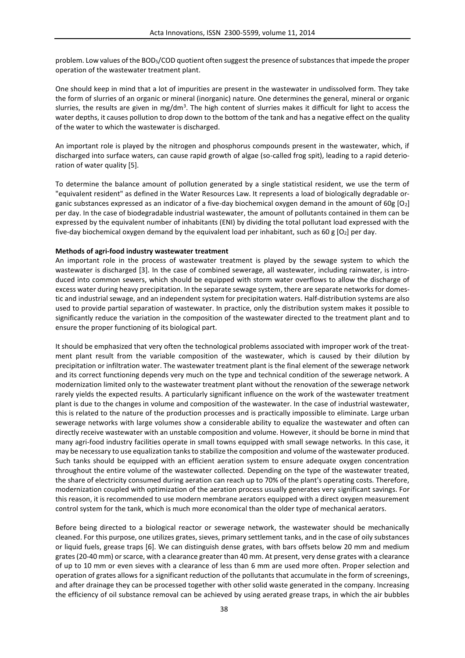problem. Low values of the BOD5/COD quotient often suggest the presence of substances that impede the proper operation of the wastewater treatment plant.

One should keep in mind that a lot of impurities are present in the wastewater in undissolved form. They take the form of slurries of an organic or mineral (inorganic) nature. One determines the general, mineral or organic slurries, the results are given in mg/dm $^3$ . The high content of slurries makes it difficult for light to access the water depths, it causes pollution to drop down to the bottom of the tank and has a negative effect on the quality of the water to which the wastewater is discharged.

An important role is played by the nitrogen and phosphorus compounds present in the wastewater, which, if discharged into surface waters, can cause rapid growth of algae (so-called frog spit), leading to a rapid deterioration of water quality [5].

To determine the balance amount of pollution generated by a single statistical resident, we use the term of "equivalent resident" as defined in the Water Resources Law. It represents a load of biologically degradable organic substances expressed as an indicator of a five-day biochemical oxygen demand in the amount of 60g [O2] per day. In the case of biodegradable industrial wastewater, the amount of pollutants contained in them can be expressed by the equivalent number of inhabitants (ENI) by dividing the total pollutant load expressed with the five-day biochemical oxygen demand by the equivalent load per inhabitant, such as 60 g  $[O_2]$  per day.

### **Methods of agri-food industry wastewater treatment**

An important role in the process of wastewater treatment is played by the sewage system to which the wastewater is discharged [3]. In the case of combined sewerage, all wastewater, including rainwater, is introduced into common sewers, which should be equipped with storm water overflows to allow the discharge of excess water during heavy precipitation. In the separate sewage system, there are separate networks for domestic and industrial sewage, and an independent system for precipitation waters. Half-distribution systems are also used to provide partial separation of wastewater. In practice, only the distribution system makes it possible to significantly reduce the variation in the composition of the wastewater directed to the treatment plant and to ensure the proper functioning of its biological part.

It should be emphasized that very often the technological problems associated with improper work of the treatment plant result from the variable composition of the wastewater, which is caused by their dilution by precipitation or infiltration water. The wastewater treatment plant is the final element of the sewerage network and its correct functioning depends very much on the type and technical condition of the sewerage network. A modernization limited only to the wastewater treatment plant without the renovation of the sewerage network rarely yields the expected results. A particularly significant influence on the work of the wastewater treatment plant is due to the changes in volume and composition of the wastewater. In the case of industrial wastewater, this is related to the nature of the production processes and is practically impossible to eliminate. Large urban sewerage networks with large volumes show a considerable ability to equalize the wastewater and often can directly receive wastewater with an unstable composition and volume. However, it should be borne in mind that many agri-food industry facilities operate in small towns equipped with small sewage networks. In this case, it may be necessary to use equalization tanks to stabilize the composition and volume of the wastewater produced. Such tanks should be equipped with an efficient aeration system to ensure adequate oxygen concentration throughout the entire volume of the wastewater collected. Depending on the type of the wastewater treated, the share of electricity consumed during aeration can reach up to 70% of the plant's operating costs. Therefore, modernization coupled with optimization of the aeration process usually generates very significant savings. For this reason, it is recommended to use modern membrane aerators equipped with a direct oxygen measurement control system for the tank, which is much more economical than the older type of mechanical aerators.

Before being directed to a biological reactor or sewerage network, the wastewater should be mechanically cleaned. For this purpose, one utilizes grates, sieves, primary settlement tanks, and in the case of oily substances or liquid fuels, grease traps [6]. We can distinguish dense grates, with bars offsets below 20 mm and medium grates (20-40 mm) or scarce, with a clearance greater than 40 mm. At present, very dense grates with a clearance of up to 10 mm or even sieves with a clearance of less than 6 mm are used more often. Proper selection and operation of grates allows for a significant reduction of the pollutants that accumulate in the form of screenings, and after drainage they can be processed together with other solid waste generated in the company. Increasing the efficiency of oil substance removal can be achieved by using aerated grease traps, in which the air bubbles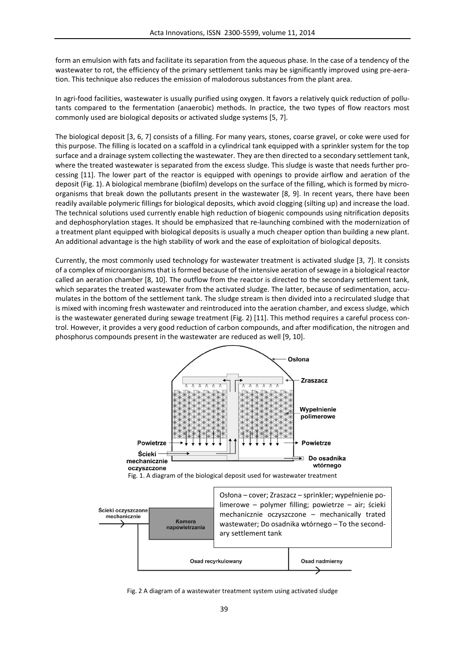form an emulsion with fats and facilitate its separation from the aqueous phase. In the case of a tendency of the wastewater to rot, the efficiency of the primary settlement tanks may be significantly improved using pre-aeration. This technique also reduces the emission of malodorous substances from the plant area.

In agri-food facilities, wastewater is usually purified using oxygen. It favors a relatively quick reduction of pollutants compared to the fermentation (anaerobic) methods. In practice, the two types of flow reactors most commonly used are biological deposits or activated sludge systems [5, 7].

The biological deposit [3, 6, 7] consists of a filling. For many years, stones, coarse gravel, or coke were used for this purpose. The filling is located on a scaffold in a cylindrical tank equipped with a sprinkler system for the top surface and a drainage system collecting the wastewater. They are then directed to a secondary settlement tank, where the treated wastewater is separated from the excess sludge. This sludge is waste that needs further processing [11]. The lower part of the reactor is equipped with openings to provide airflow and aeration of the deposit (Fig. 1). A biological membrane (biofilm) develops on the surface of the filling, which is formed by microorganisms that break down the pollutants present in the wastewater [8, 9]. In recent years, there have been readily available polymeric fillings for biological deposits, which avoid clogging (silting up) and increase the load. The technical solutions used currently enable high reduction of biogenic compounds using nitrification deposits and dephosphorylation stages. It should be emphasized that re-launching combined with the modernization of a treatment plant equipped with biological deposits is usually a much cheaper option than building a new plant. An additional advantage is the high stability of work and the ease of exploitation of biological deposits.

Currently, the most commonly used technology for wastewater treatment is activated sludge [3, 7]. It consists of a complex of microorganisms that is formed because of the intensive aeration of sewage in a biological reactor called an aeration chamber [8, 10]. The outflow from the reactor is directed to the secondary settlement tank, which separates the treated wastewater from the activated sludge. The latter, because of sedimentation, accumulates in the bottom of the settlement tank. The sludge stream is then divided into a recirculated sludge that is mixed with incoming fresh wastewater and reintroduced into the aeration chamber, and excess sludge, which is the wastewater generated during sewage treatment (Fig. 2) [11]. This method requires a careful process control. However, it provides a very good reduction of carbon compounds, and after modification, the nitrogen and phosphorus compounds present in the wastewater are reduced as well [9, 10].





Fig. 2 A diagram of a wastewater treatment system using activated sludge